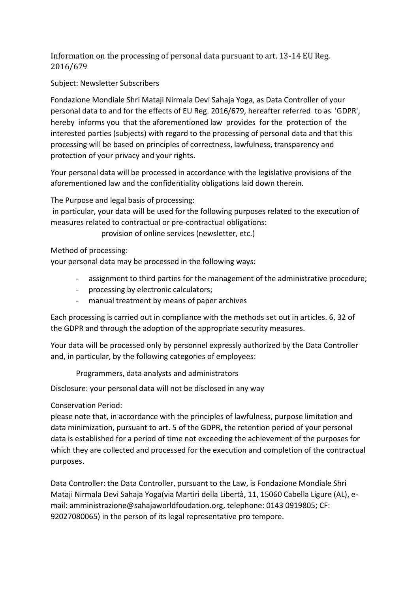Information on the processing of personal data pursuant to art. 13-14 EU Reg. 2016/679

Subject: Newsletter Subscribers

Fondazione Mondiale Shri Mataji Nirmala Devi Sahaja Yoga, as Data Controller of your personal data to and for the effects of EU Reg. 2016/679, hereafter referred to as 'GDPR', hereby informs you that the aforementioned law provides for the protection of the interested parties (subjects) with regard to the processing of personal data and that this processing will be based on principles of correctness, lawfulness, transparency and protection of your privacy and your rights.

Your personal data will be processed in accordance with the legislative provisions of the aforementioned law and the confidentiality obligations laid down therein.

The Purpose and legal basis of processing:

in particular, your data will be used for the following purposes related to the execution of measures related to contractual or pre-contractual obligations:

provision of online services (newsletter, etc.)

Method of processing:

your personal data may be processed in the following ways:

- assignment to third parties for the management of the administrative procedure;
- processing by electronic calculators;
- manual treatment by means of paper archives

Each processing is carried out in compliance with the methods set out in articles. 6, 32 of the GDPR and through the adoption of the appropriate security measures.

Your data will be processed only by personnel expressly authorized by the Data Controller and, in particular, by the following categories of employees:

Programmers, data analysts and administrators

Disclosure: your personal data will not be disclosed in any way

Conservation Period:

please note that, in accordance with the principles of lawfulness, purpose limitation and data minimization, pursuant to art. 5 of the GDPR, the retention period of your personal data is established for a period of time not exceeding the achievement of the purposes for which they are collected and processed for the execution and completion of the contractual purposes.

Data Controller: the Data Controller, pursuant to the Law, is Fondazione Mondiale Shri Mataji Nirmala Devi Sahaja Yoga(via Martiri della Libertà, 11, 15060 Cabella Ligure (AL), email: amministrazione@sahajaworldfoudation.org, telephone: 0143 0919805; CF: 92027080065) in the person of its legal representative pro tempore.